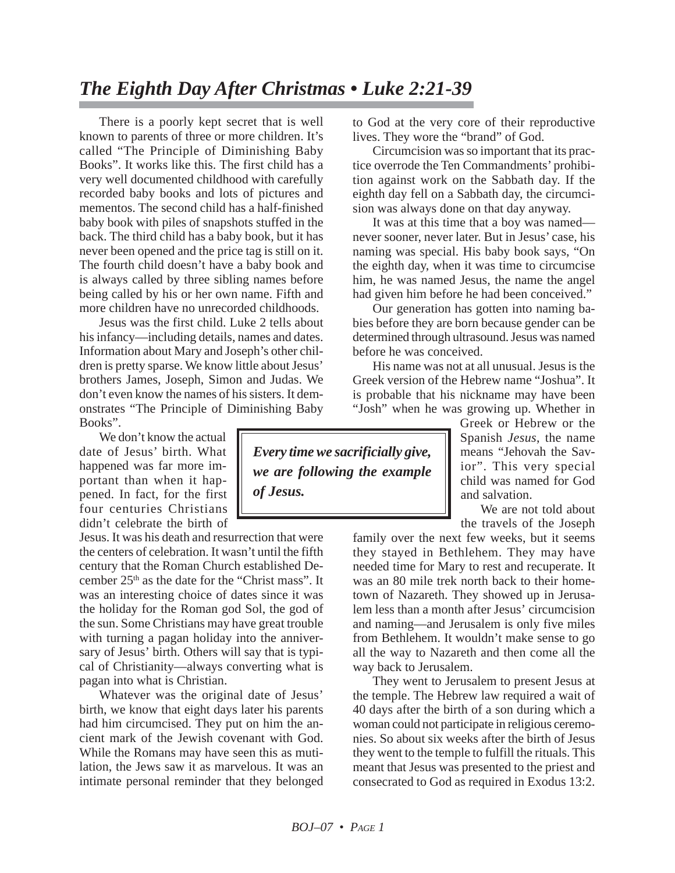## *The Eighth Day After Christmas • Luke 2:21-39*

There is a poorly kept secret that is well known to parents of three or more children. It's called "The Principle of Diminishing Baby Books". It works like this. The first child has a very well documented childhood with carefully recorded baby books and lots of pictures and mementos. The second child has a half-finished baby book with piles of snapshots stuffed in the back. The third child has a baby book, but it has never been opened and the price tag is still on it. The fourth child doesn't have a baby book and is always called by three sibling names before being called by his or her own name. Fifth and more children have no unrecorded childhoods.

Jesus was the first child. Luke 2 tells about his infancy—including details, names and dates. Information about Mary and Joseph's other children is pretty sparse. We know little about Jesus' brothers James, Joseph, Simon and Judas. We don't even know the names of his sisters. It demonstrates "The Principle of Diminishing Baby Books".

We don't know the actual date of Jesus' birth. What happened was far more important than when it happened. In fact, for the first four centuries Christians didn't celebrate the birth of

Jesus. It was his death and resurrection that were the centers of celebration. It wasn't until the fifth century that the Roman Church established December  $25<sup>th</sup>$  as the date for the "Christ mass". It was an interesting choice of dates since it was the holiday for the Roman god Sol, the god of the sun. Some Christians may have great trouble with turning a pagan holiday into the anniversary of Jesus' birth. Others will say that is typical of Christianity—always converting what is pagan into what is Christian.

Whatever was the original date of Jesus' birth, we know that eight days later his parents had him circumcised. They put on him the ancient mark of the Jewish covenant with God. While the Romans may have seen this as mutilation, the Jews saw it as marvelous. It was an intimate personal reminder that they belonged to God at the very core of their reproductive lives. They wore the "brand" of God.

Circumcision was so important that its practice overrode the Ten Commandments' prohibition against work on the Sabbath day. If the eighth day fell on a Sabbath day, the circumcision was always done on that day anyway.

It was at this time that a boy was named never sooner, never later. But in Jesus' case, his naming was special. His baby book says, "On the eighth day, when it was time to circumcise him, he was named Jesus, the name the angel had given him before he had been conceived."

Our generation has gotten into naming babies before they are born because gender can be determined through ultrasound. Jesus was named before he was conceived.

His name was not at all unusual. Jesus is the Greek version of the Hebrew name "Joshua". It is probable that his nickname may have been "Josh" when he was growing up. Whether in

*Every time we sacrificially give, we are following the example of Jesus.*

Greek or Hebrew or the Spanish *Jesus*, the name means "Jehovah the Savior". This very special child was named for God and salvation.

We are not told about the travels of the Joseph

family over the next few weeks, but it seems they stayed in Bethlehem. They may have needed time for Mary to rest and recuperate. It was an 80 mile trek north back to their hometown of Nazareth. They showed up in Jerusalem less than a month after Jesus' circumcision and naming—and Jerusalem is only five miles from Bethlehem. It wouldn't make sense to go all the way to Nazareth and then come all the way back to Jerusalem.

They went to Jerusalem to present Jesus at the temple. The Hebrew law required a wait of 40 days after the birth of a son during which a woman could not participate in religious ceremonies. So about six weeks after the birth of Jesus they went to the temple to fulfill the rituals. This meant that Jesus was presented to the priest and consecrated to God as required in Exodus 13:2.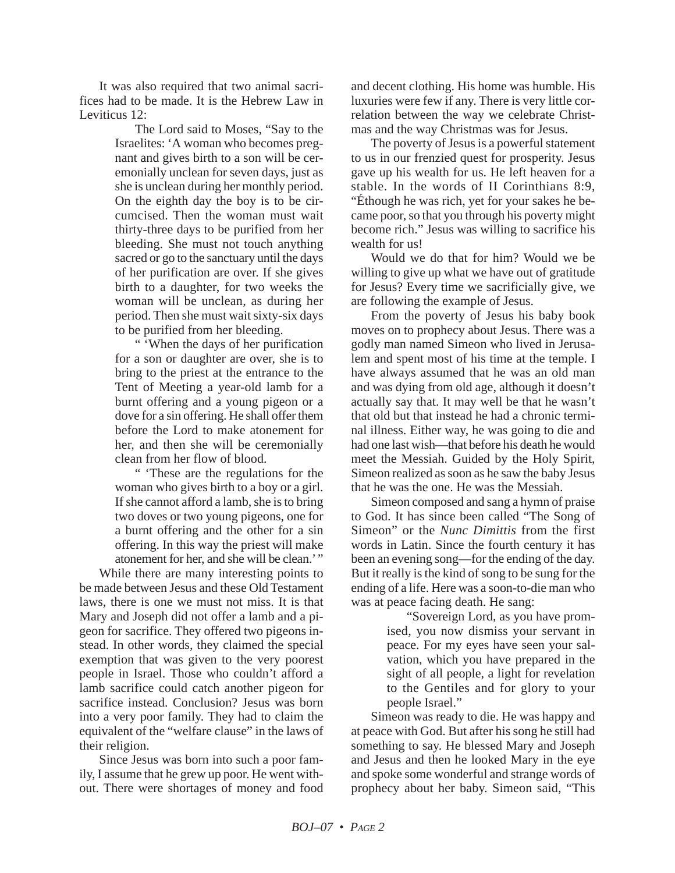It was also required that two animal sacrifices had to be made. It is the Hebrew Law in Leviticus 12:

> The Lord said to Moses, "Say to the Israelites: 'A woman who becomes pregnant and gives birth to a son will be ceremonially unclean for seven days, just as she is unclean during her monthly period. On the eighth day the boy is to be circumcised. Then the woman must wait thirty-three days to be purified from her bleeding. She must not touch anything sacred or go to the sanctuary until the days of her purification are over. If she gives birth to a daughter, for two weeks the woman will be unclean, as during her period. Then she must wait sixty-six days to be purified from her bleeding.

> " 'When the days of her purification for a son or daughter are over, she is to bring to the priest at the entrance to the Tent of Meeting a year-old lamb for a burnt offering and a young pigeon or a dove for a sin offering. He shall offer them before the Lord to make atonement for her, and then she will be ceremonially clean from her flow of blood.

> " 'These are the regulations for the woman who gives birth to a boy or a girl. If she cannot afford a lamb, she is to bring two doves or two young pigeons, one for a burnt offering and the other for a sin offering. In this way the priest will make atonement for her, and she will be clean.'"

While there are many interesting points to be made between Jesus and these Old Testament laws, there is one we must not miss. It is that Mary and Joseph did not offer a lamb and a pigeon for sacrifice. They offered two pigeons instead. In other words, they claimed the special exemption that was given to the very poorest people in Israel. Those who couldn't afford a lamb sacrifice could catch another pigeon for sacrifice instead. Conclusion? Jesus was born into a very poor family. They had to claim the equivalent of the "welfare clause" in the laws of their religion.

Since Jesus was born into such a poor family, I assume that he grew up poor. He went without. There were shortages of money and food and decent clothing. His home was humble. His luxuries were few if any. There is very little correlation between the way we celebrate Christmas and the way Christmas was for Jesus.

The poverty of Jesus is a powerful statement to us in our frenzied quest for prosperity. Jesus gave up his wealth for us. He left heaven for a stable. In the words of II Corinthians 8:9, "Éthough he was rich, yet for your sakes he became poor, so that you through his poverty might become rich." Jesus was willing to sacrifice his wealth for us!

Would we do that for him? Would we be willing to give up what we have out of gratitude for Jesus? Every time we sacrificially give, we are following the example of Jesus.

From the poverty of Jesus his baby book moves on to prophecy about Jesus. There was a godly man named Simeon who lived in Jerusalem and spent most of his time at the temple. I have always assumed that he was an old man and was dying from old age, although it doesn't actually say that. It may well be that he wasn't that old but that instead he had a chronic terminal illness. Either way, he was going to die and had one last wish—that before his death he would meet the Messiah. Guided by the Holy Spirit, Simeon realized as soon as he saw the baby Jesus that he was the one. He was the Messiah.

Simeon composed and sang a hymn of praise to God. It has since been called "The Song of Simeon" or the *Nunc Dimittis* from the first words in Latin. Since the fourth century it has been an evening song—for the ending of the day. But it really is the kind of song to be sung for the ending of a life. Here was a soon-to-die man who was at peace facing death. He sang:

> "Sovereign Lord, as you have promised, you now dismiss your servant in peace. For my eyes have seen your salvation, which you have prepared in the sight of all people, a light for revelation to the Gentiles and for glory to your people Israel."

Simeon was ready to die. He was happy and at peace with God. But after his song he still had something to say. He blessed Mary and Joseph and Jesus and then he looked Mary in the eye and spoke some wonderful and strange words of prophecy about her baby. Simeon said, "This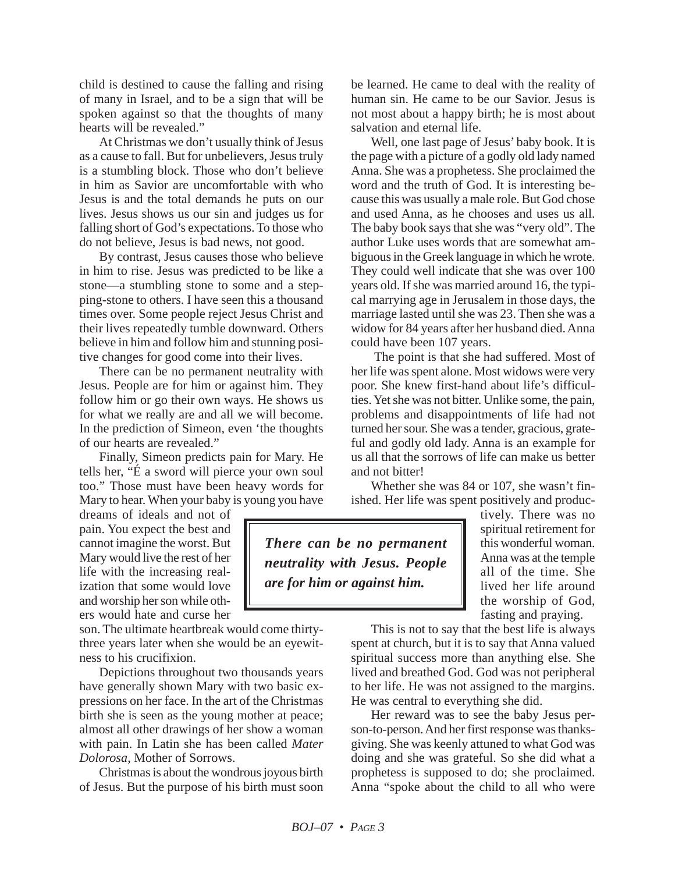child is destined to cause the falling and rising of many in Israel, and to be a sign that will be spoken against so that the thoughts of many hearts will be revealed."

At Christmas we don't usually think of Jesus as a cause to fall. But for unbelievers, Jesus truly is a stumbling block. Those who don't believe in him as Savior are uncomfortable with who Jesus is and the total demands he puts on our lives. Jesus shows us our sin and judges us for falling short of God's expectations. To those who do not believe, Jesus is bad news, not good.

By contrast, Jesus causes those who believe in him to rise. Jesus was predicted to be like a stone—a stumbling stone to some and a stepping-stone to others. I have seen this a thousand times over. Some people reject Jesus Christ and their lives repeatedly tumble downward. Others believe in him and follow him and stunning positive changes for good come into their lives.

There can be no permanent neutrality with Jesus. People are for him or against him. They follow him or go their own ways. He shows us for what we really are and all we will become. In the prediction of Simeon, even 'the thoughts of our hearts are revealed."

Finally, Simeon predicts pain for Mary. He tells her, "É a sword will pierce your own soul too." Those must have been heavy words for Mary to hear. When your baby is young you have

dreams of ideals and not of pain. You expect the best and cannot imagine the worst. But Mary would live the rest of her life with the increasing realization that some would love and worship her son while others would hate and curse her

son. The ultimate heartbreak would come thirtythree years later when she would be an eyewitness to his crucifixion.

Depictions throughout two thousands years have generally shown Mary with two basic expressions on her face. In the art of the Christmas birth she is seen as the young mother at peace; almost all other drawings of her show a woman with pain. In Latin she has been called *Mater Dolorosa*, Mother of Sorrows.

Christmas is about the wondrous joyous birth of Jesus. But the purpose of his birth must soon be learned. He came to deal with the reality of human sin. He came to be our Savior. Jesus is not most about a happy birth; he is most about salvation and eternal life.

Well, one last page of Jesus' baby book. It is the page with a picture of a godly old lady named Anna. She was a prophetess. She proclaimed the word and the truth of God. It is interesting because this was usually a male role. But God chose and used Anna, as he chooses and uses us all. The baby book says that she was "very old". The author Luke uses words that are somewhat ambiguous in the Greek language in which he wrote. They could well indicate that she was over 100 years old. If she was married around 16, the typical marrying age in Jerusalem in those days, the marriage lasted until she was 23. Then she was a widow for 84 years after her husband died. Anna could have been 107 years.

The point is that she had suffered. Most of her life was spent alone. Most widows were very poor. She knew first-hand about life's difficulties. Yet she was not bitter. Unlike some, the pain, problems and disappointments of life had not turned her sour. She was a tender, gracious, grateful and godly old lady. Anna is an example for us all that the sorrows of life can make us better and not bitter!

Whether she was 84 or 107, she wasn't finished. Her life was spent positively and produc-

*There can be no permanent neutrality with Jesus. People are for him or against him.*

tively. There was no spiritual retirement for this wonderful woman. Anna was at the temple all of the time. She lived her life around the worship of God, fasting and praying.

This is not to say that the best life is always spent at church, but it is to say that Anna valued spiritual success more than anything else. She lived and breathed God. God was not peripheral to her life. He was not assigned to the margins. He was central to everything she did.

Her reward was to see the baby Jesus person-to-person. And her first response was thanksgiving. She was keenly attuned to what God was doing and she was grateful. So she did what a prophetess is supposed to do; she proclaimed. Anna "spoke about the child to all who were